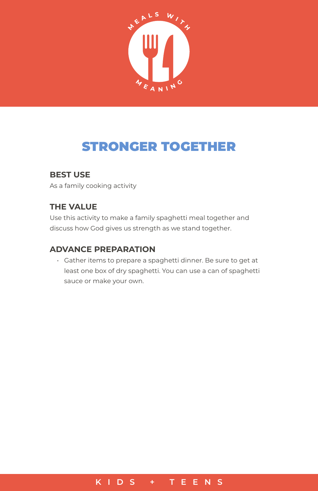

# STRONGER TOGETHER

### **BEST USE**

As a family cooking activity

## **THE VALUE**

Use this activity to make a family spaghetti meal together and discuss how God gives us strength as we stand together.

#### **ADVANCE PREPARATION**

• Gather items to prepare a spaghetti dinner. Be sure to get at least one box of dry spaghetti. You can use a can of spaghetti sauce or make your own.